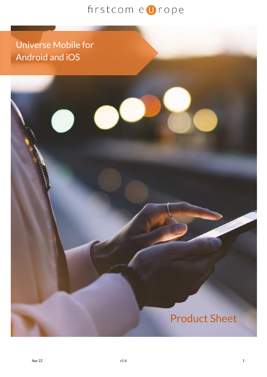I

Universe Mobile for Android and iOS

ì

# Product Sheet

Ĩ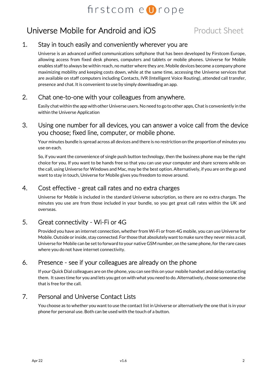## Universe Mobile for Android and iOS Product Sheet

#### 1. Stay in touch easily and conveniently wherever you are

Universe is an advanced unified communications softphone that has been developed by Firstcom Europe, allowing access from fixed desk phones, computers and tablets or mobile phones. Universe for Mobile enables staff to always be within reach, no matter where they are. Mobile devices become a company phone maximizing mobility and keeping costs down, while at the same time, accessing the Universe services that are available on staff computers including Contacts, IVR (Intelligent Voice Routing), attended call transfer, presence and chat. It is convenient to use by simply downloading an app.

#### 2. Chat one-to-one with your colleagues from anywhere.

Easily chat within the app with other Universe users. No need to go to other apps, Chatis conveniently in the within the Universe Application

3. Using one number for all devices, you can answer a voice call from the device you choose; fixed line, computer, or mobile phone.

Your minutes bundle is spread across all devices and there is no restriction on the proportion of minutes you use on each.

So, if you want the convenience of single push button technology, then the business phone may be the right choice for you. If you want to be hands free so that you can use your computer and share screens while on the call, using Universe for Windows and Mac, may be the best option. Alternatively, if you are on the go and want to stay in touch, Universe for Mobile gives you freedom to move around.

#### 4. Cost effective - great call rates and no extra charges

Universe for Mobile is included in the standard Universe subscription, so there are no extra charges. The minutes you use are from those included in your bundle, so you get great call rates within the UK and overseas.

#### 5. Great connectivity - Wi-Fi or 4G

Provided you have an internet connection, whether from Wi-Fi or from 4G mobile, you can use Universe for Mobile. Outside or inside, stay connected. For those that absolutely want to make sure they never miss a call, Universe for Mobile can be set to forward to your native GSM number, on the same phone, for the rare cases where you do not have internet connectivity.

#### 6. Presence - see if your colleagues are already on the phone

If your Quick Dial colleagues are on the phone, you can see this on your mobile handset and delay contacting them. It saves time for you and lets you get on with what you need to do. Alternatively, choose someone else that is free for the call.

#### 7. Personal and Universe Contact Lists

You choose as to whether you want to use the contact list in Universe or alternatively the one that is in your phone for personal use. Both can be used with the touch of a button.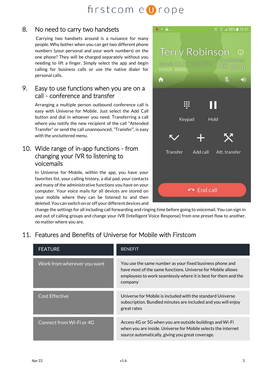#### 8. No need to carry two handsets

Carrying two handsets around is a nuisance for many people. Why bother when you can get two different phone numbers (your personal and your work numbers) on the one phone? They will be charged separately without you needing to lift a finger. Simply select the app and begin calling for business calls or use the native dialer for personal calls.

#### 9. Easy to use functions when you are on a call - conference and transfer

Arranging a multiple person outbound conference call is easy with Universe for Mobile. Just select the Add Call button and dial in whoever you need. Transferring a call where you notify the new recipient of the call "Attended Transfer" or send the call unannounced, "Transfer", is easy with the uncluttered menu.

#### 10. Wide range of in-app functions - from changing your IVR to listening to voicemails

In Universe for Mobile, within the app, you have your favorites list, your calling history, a dial pad, your contacts and many of the administrative functions you have on your computer. Your voice mails for all devices are stored on your mobile where they can be listened to and then deleted. You can switch on or off your different devices and



change the settings for all including call forwarding and ringing time before going to voicemail. You can sign in and out of calling groups and change your IVR (Intelligent Voice Response) from one preset flow to another, no matter where you are.

### 11. Features and Benefits of Universe for Mobile with Firstcom

| <b>FEATURE</b>              | <b>BENEFIT</b>                                                                                                                                                                                       |
|-----------------------------|------------------------------------------------------------------------------------------------------------------------------------------------------------------------------------------------------|
| Work from wherever you want | You use the same number as your fixed business phone and<br>have most of the same functions. Universe for Mobile allows<br>employees to work seamlessly where it is best for them and the<br>company |
| <b>Cost Effective</b>       | Universe for Mobile is included with the standard Universe                                                                                                                                           |
|                             | subscription. Bundled minutes are included and you will enjoy<br>great rates                                                                                                                         |
| Connect from Wi-Fi or 4G    | Access 4G or 5G when you are outside buildings and Wi-Fi<br>when you are inside. Universe for Mobile selects the internet<br>source automatically, giving you great coverage.                        |